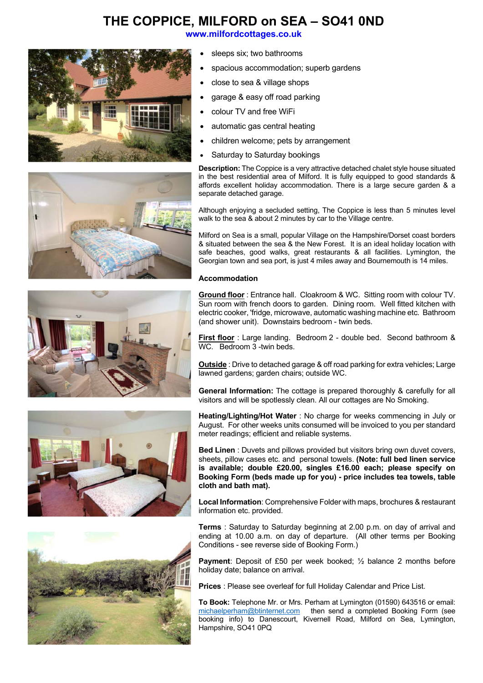## **THE COPPICE, MILFORD on SEA – SO41 0ND**











**www.milfordcottages.co.uk** 

- sleeps six; two bathrooms
- spacious accommodation; superb gardens
- close to sea & village shops
- garage & easy off road parking
- colour TV and free WiFi
- automatic gas central heating
- children welcome; pets by arrangement
- Saturday to Saturday bookings

**Description:** The Coppice is a very attractive detached chalet style house situated in the best residential area of Milford. It is fully equipped to good standards & affords excellent holiday accommodation. There is a large secure garden & a separate detached garage.

Although enjoying a secluded setting, The Coppice is less than 5 minutes level walk to the sea & about 2 minutes by car to the Village centre.

Milford on Sea is a small, popular Village on the Hampshire/Dorset coast borders & situated between the sea & the New Forest. It is an ideal holiday location with safe beaches, good walks, great restaurants & all facilities. Lymington, the Georgian town and sea port, is just 4 miles away and Bournemouth is 14 miles.

## **Accommodation**

**Ground floor** : Entrance hall. Cloakroom & WC. Sitting room with colour TV. Sun room with french doors to garden. Dining room. Well fitted kitchen with electric cooker, 'fridge, microwave, automatic washing machine etc. Bathroom (and shower unit). Downstairs bedroom - twin beds.

**First floor** : Large landing. Bedroom 2 - double bed. Second bathroom & WC. Bedroom 3 -twin beds.

**Outside** : Drive to detached garage & off road parking for extra vehicles; Large lawned gardens; garden chairs; outside WC.

**General Information:** The cottage is prepared thoroughly & carefully for all visitors and will be spotlessly clean. All our cottages are No Smoking.

**Heating/Lighting/Hot Water** : No charge for weeks commencing in July or August. For other weeks units consumed will be invoiced to you per standard meter readings; efficient and reliable systems.

**Bed Linen** : Duvets and pillows provided but visitors bring own duvet covers, sheets, pillow cases etc. and personal towels. **(Note: full bed linen service is available; double £20.00, singles £16.00 each; please specify on Booking Form (beds made up for you) - price includes tea towels, table cloth and bath mat).**

**Local Information**: Comprehensive Folder with maps, brochures & restaurant information etc. provided.

**Terms** : Saturday to Saturday beginning at 2.00 p.m. on day of arrival and ending at 10.00 a.m. on day of departure. (All other terms per Booking Conditions - see reverse side of Booking Form.)

**Payment**: Deposit of £50 per week booked; 1/2 balance 2 months before holiday date; balance on arrival.

**Prices** : Please see overleaf for full Holiday Calendar and Price List.

**To Book:** Telephone Mr. or Mrs. Perham at Lymington (01590) 643516 or email: michaelperham@btinternet.com then send a completed Booking Form (see booking info) to Danescourt, Kivernell Road, Milford on Sea, Lymington, Hampshire, SO41 0PQ